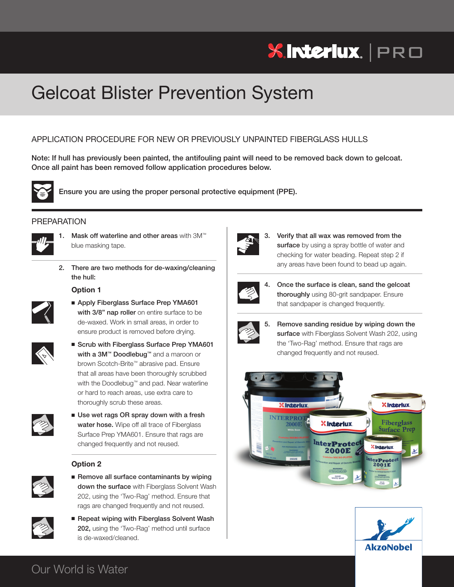# **XInteriux.** | PRO

## Gelcoat Blister Prevention System

## APPLICATION PROCEDURE FOR NEW OR PREVIOUSLY UNPAINTED FIBERGLASS HULLS

Note: If hull has previously been painted, the antifouling paint will need to be removed back down to gelcoat. **Once all paint has been removed follow application procedures below.**



 **Ensure you are using the proper personal protective equipment (PPE).**

## PREPARATION



- **1. Mask off waterline and other areas** with 3M™ blue masking tape.
- **2. There are two methods for de-waxing/cleaning the hull:**

## **Option 1**



**Find Apply Fiberglass Surface Prep YMA601**<br>with 3/8" nap roller on entire surface to be **with 3/8" nap roller** on entire surface to be de-waxed. Work in small areas, in order to ensure product is removed before drying.



■ Scrub with Fiberglass Surface Prep YMA601 **with a 3M™ Doodlebug™** and a maroon or brown Scotch-Brite™ abrasive pad. Ensure that all areas have been thoroughly scrubbed with the Doodlebug™ and pad. Near waterline or hard to reach areas, use extra care to thoroughly scrub these areas.



 <sup>n</sup> **Use wet rags OR spray down with a fresh water hose.** Wipe off all trace of Fiberglass Surface Prep YMA601. Ensure that rags are changed frequently and not reused.

## **Option 2**



 <sup>n</sup> **Remove all surface contaminants by wiping down the surface** with Fiberglass Solvent Wash 202, using the 'Two-Rag' method. Ensure that rags are changed frequently and not reused.



 <sup>n</sup> **Repeat wiping with Fiberglass Solvent Wash 202,** using the 'Two-Rag' method until surface is de-waxed/cleaned.



 **3. Verify that all wax was removed from the surface** by using a spray bottle of water and checking for water beading. Repeat step 2 if any areas have been found to bead up again.



 **4. Once the surface is clean, sand the gelcoat thoroughly** using 80-grit sandpaper. Ensure that sandpaper is changed frequently.



 **5. Remove sanding residue by wiping down the surface** with Fiberglass Solvent Wash 202, using the 'Two-Rag' method. Ensure that rags are changed frequently and not reused.





## Our World is Water